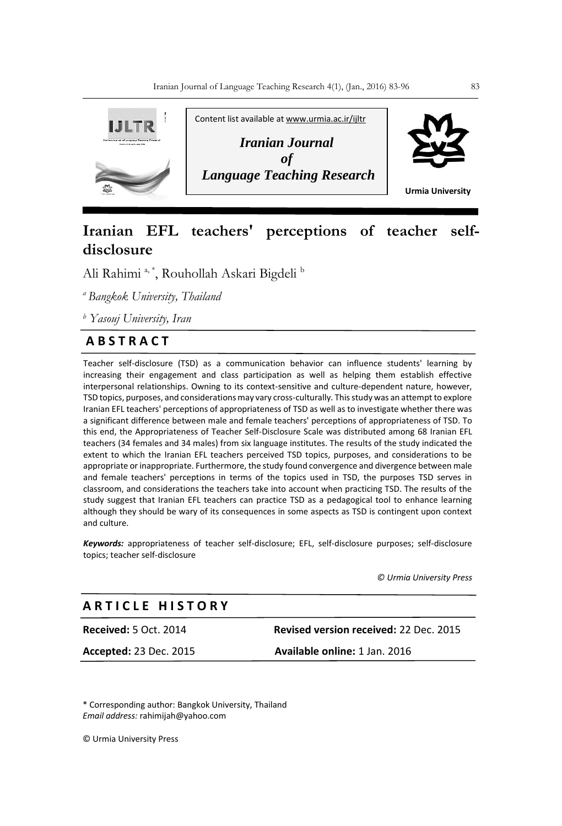

# **Iranian EFL teachers' perceptions of teacher selfdisclosure**

Ali Rahimi <sup>a, \*</sup>, Rouhollah Askari Bigdeli <sup>b</sup>

*<sup>a</sup>Bangkok University, Thailand* 

*<sup>b</sup> Yasouj University, Iran*

## **A B S T R A C T**

Teacher self-disclosure (TSD) as a communication behavior can influence students' learning by increasing their engagement and class participation as well as helping them establish effective interpersonal relationships. Owning to its context-sensitive and culture-dependent nature, however, TSD topics, purposes, and considerations may vary cross-culturally. This study was an attempt to explore Iranian EFL teachers' perceptions of appropriateness of TSD as well as to investigate whether there was a significant difference between male and female teachers' perceptions of appropriateness of TSD. To this end, the Appropriateness of Teacher Self-Disclosure Scale was distributed among 68 Iranian EFL teachers (34 females and 34 males) from six language institutes. The results of the study indicated the extent to which the Iranian EFL teachers perceived TSD topics, purposes, and considerations to be appropriate or inappropriate. Furthermore, the study found convergence and divergence between male and female teachers' perceptions in terms of the topics used in TSD, the purposes TSD serves in classroom, and considerations the teachers take into account when practicing TSD. The results of the study suggest that Iranian EFL teachers can practice TSD as a pedagogical tool to enhance learning although they should be wary of its consequences in some aspects as TSD is contingent upon context and culture. 

*Keywords:* appropriateness of teacher self-disclosure; EFL, self-disclosure purposes; self-disclosure topics; teacher self-disclosure

 *© Urmia University Press*

## **A R T I C L E H I S T O R Y**

**Received:** 5 Oct. 2014 **Revised version received:** 22 Dec. 2015

**Accepted:** 23 Dec. 2015 **Available online:** 1 Jan. 2016

\* Corresponding author: Bangkok University, Thailand *Email address:* rahimijah@yahoo.com

© Urmia University Press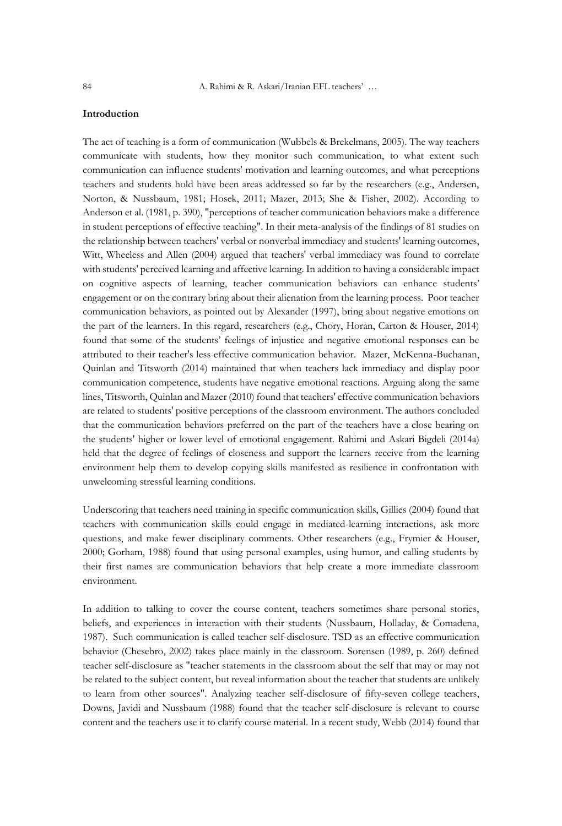## **Introduction**

The act of teaching is a form of communication (Wubbels & Brekelmans, 2005). The way teachers communicate with students, how they monitor such communication, to what extent such communication can influence students' motivation and learning outcomes, and what perceptions teachers and students hold have been areas addressed so far by the researchers (e.g., Andersen, Norton, & Nussbaum, 1981; Hosek, 2011; Mazer, 2013; She & Fisher, 2002). According to Anderson et al. (1981, p. 390), "perceptions of teacher communication behaviors make a difference in student perceptions of effective teaching". In their meta-analysis of the findings of 81 studies on the relationship between teachers' verbal or nonverbal immediacy and students' learning outcomes, Witt, Wheeless and Allen (2004) argued that teachers' verbal immediacy was found to correlate with students' perceived learning and affective learning. In addition to having a considerable impact on cognitive aspects of learning, teacher communication behaviors can enhance students' engagement or on the contrary bring about their alienation from the learning process. Poor teacher communication behaviors, as pointed out by Alexander (1997), bring about negative emotions on the part of the learners. In this regard, researchers (e.g., Chory, Horan, Carton & Houser, 2014) found that some of the students' feelings of injustice and negative emotional responses can be attributed to their teacher's less effective communication behavior. Mazer, McKenna-Buchanan, Quinlan and Titsworth (2014) maintained that when teachers lack immediacy and display poor communication competence, students have negative emotional reactions. Arguing along the same lines, Titsworth, Quinlan and Mazer (2010) found that teachers' effective communication behaviors are related to students' positive perceptions of the classroom environment. The authors concluded that the communication behaviors preferred on the part of the teachers have a close bearing on the students' higher or lower level of emotional engagement. Rahimi and Askari Bigdeli (2014a) held that the degree of feelings of closeness and support the learners receive from the learning environment help them to develop copying skills manifested as resilience in confrontation with unwelcoming stressful learning conditions.

Underscoring that teachers need training in specific communication skills, Gillies (2004) found that teachers with communication skills could engage in mediated-learning interactions, ask more questions, and make fewer disciplinary comments. Other researchers (e.g., Frymier & Houser, 2000; Gorham, 1988) found that using personal examples, using humor, and calling students by their first names are communication behaviors that help create a more immediate classroom environment.

In addition to talking to cover the course content, teachers sometimes share personal stories, beliefs, and experiences in interaction with their students (Nussbaum, Holladay, & Comadena, 1987). Such communication is called teacher self-disclosure. TSD as an effective communication behavior (Chesebro, 2002) takes place mainly in the classroom. Sorensen (1989, p. 260) defined teacher self-disclosure as "teacher statements in the classroom about the self that may or may not be related to the subject content, but reveal information about the teacher that students are unlikely to learn from other sources". Analyzing teacher self-disclosure of fifty-seven college teachers, Downs, Javidi and Nussbaum (1988) found that the teacher self-disclosure is relevant to course content and the teachers use it to clarify course material. In a recent study, Webb (2014) found that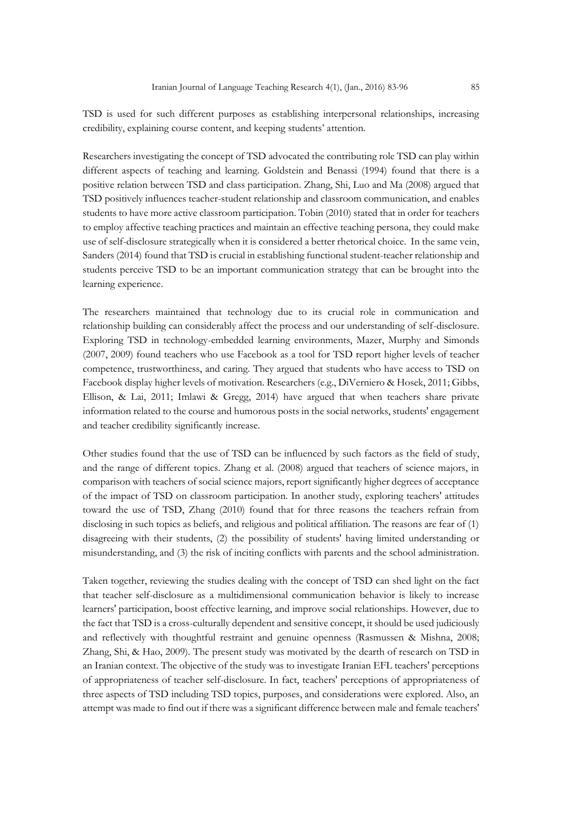TSD is used for such different purposes as establishing interpersonal relationships, increasing credibility, explaining course content, and keeping students' attention.

Researchers investigating the concept of TSD advocated the contributing role TSD can play within different aspects of teaching and learning. Goldstein and Benassi (1994) found that there is a positive relation between TSD and class participation. Zhang, Shi, Luo and Ma (2008) argued that TSD positively influences teacher-student relationship and classroom communication, and enables students to have more active classroom participation. Tobin (2010) stated that in order for teachers to employ affective teaching practices and maintain an effective teaching persona, they could make use of self-disclosure strategically when it is considered a better rhetorical choice. In the same vein, Sanders (2014) found that TSD is crucial in establishing functional student-teacher relationship and students perceive TSD to be an important communication strategy that can be brought into the learning experience.

The researchers maintained that technology due to its crucial role in communication and relationship building can considerably affect the process and our understanding of self-disclosure. Exploring TSD in technology-embedded learning environments, Mazer, Murphy and Simonds (2007, 2009) found teachers who use Facebook as a tool for TSD report higher levels of teacher competence, trustworthiness, and caring. They argued that students who have access to TSD on Facebook display higher levels of motivation. Researchers (e.g., DiVerniero & Hosek, 2011; Gibbs, Ellison, & Lai, 2011; Imlawi & Gregg, 2014) have argued that when teachers share private information related to the course and humorous posts in the social networks, students' engagement and teacher credibility significantly increase.

Other studies found that the use of TSD can be influenced by such factors as the field of study, and the range of different topics. Zhang et al. (2008) argued that teachers of science majors, in comparison with teachers of social science majors, report significantly higher degrees of acceptance of the impact of TSD on classroom participation. In another study, exploring teachers' attitudes toward the use of TSD, Zhang (2010) found that for three reasons the teachers refrain from disclosing in such topics as beliefs, and religious and political affiliation. The reasons are fear of (1) disagreeing with their students, (2) the possibility of students' having limited understanding or misunderstanding, and (3) the risk of inciting conflicts with parents and the school administration.

Taken together, reviewing the studies dealing with the concept of TSD can shed light on the fact that teacher self-disclosure as a multidimensional communication behavior is likely to increase learners' participation, boost effective learning, and improve social relationships. However, due to the fact that TSD is a cross-culturally dependent and sensitive concept, it should be used judiciously and reflectively with thoughtful restraint and genuine openness (Rasmussen & Mishna, 2008; Zhang, Shi, & Hao, 2009). The present study was motivated by the dearth of research on TSD in an Iranian context. The objective of the study was to investigate Iranian EFL teachers' perceptions of appropriateness of teacher self-disclosure. In fact, teachers' perceptions of appropriateness of three aspects of TSD including TSD topics, purposes, and considerations were explored. Also, an attempt was made to find out if there was a significant difference between male and female teachers'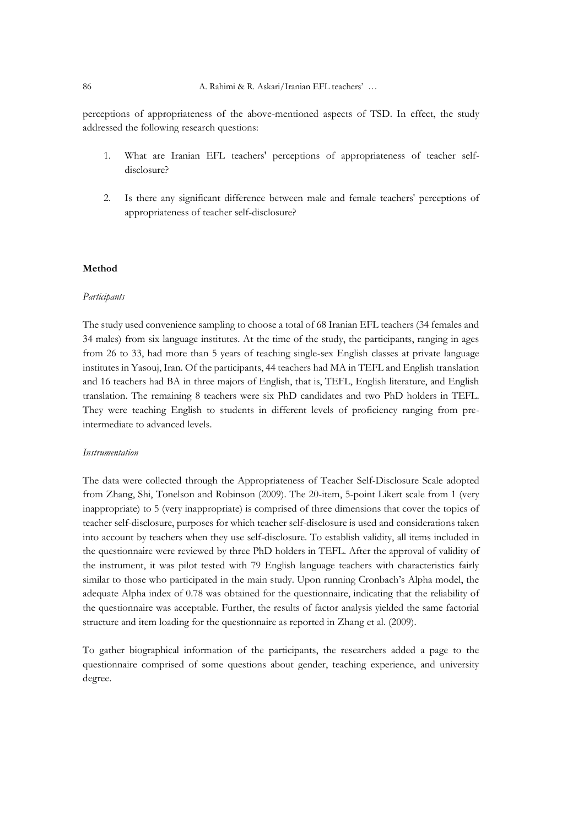perceptions of appropriateness of the above-mentioned aspects of TSD. In effect, the study addressed the following research questions:

- 1. What are Iranian EFL teachers' perceptions of appropriateness of teacher selfdisclosure?
- 2. Is there any significant difference between male and female teachers' perceptions of appropriateness of teacher self-disclosure?

#### **Method**

#### *Participants*

The study used convenience sampling to choose a total of 68 Iranian EFL teachers (34 females and 34 males) from six language institutes. At the time of the study, the participants, ranging in ages from 26 to 33, had more than 5 years of teaching single-sex English classes at private language institutes in Yasouj, Iran. Of the participants, 44 teachers had MA in TEFL and English translation and 16 teachers had BA in three majors of English, that is, TEFL, English literature, and English translation. The remaining 8 teachers were six PhD candidates and two PhD holders in TEFL. They were teaching English to students in different levels of proficiency ranging from preintermediate to advanced levels.

#### *Instrumentation*

The data were collected through the Appropriateness of Teacher Self-Disclosure Scale adopted from Zhang, Shi, Tonelson and Robinson (2009). The 20-item, 5-point Likert scale from 1 (very inappropriate) to 5 (very inappropriate) is comprised of three dimensions that cover the topics of teacher self-disclosure, purposes for which teacher self-disclosure is used and considerations taken into account by teachers when they use self-disclosure. To establish validity, all items included in the questionnaire were reviewed by three PhD holders in TEFL. After the approval of validity of the instrument, it was pilot tested with 79 English language teachers with characteristics fairly similar to those who participated in the main study. Upon running Cronbach's Alpha model, the adequate Alpha index of 0.78 was obtained for the questionnaire, indicating that the reliability of the questionnaire was acceptable. Further, the results of factor analysis yielded the same factorial structure and item loading for the questionnaire as reported in Zhang et al. (2009).

To gather biographical information of the participants, the researchers added a page to the questionnaire comprised of some questions about gender, teaching experience, and university degree.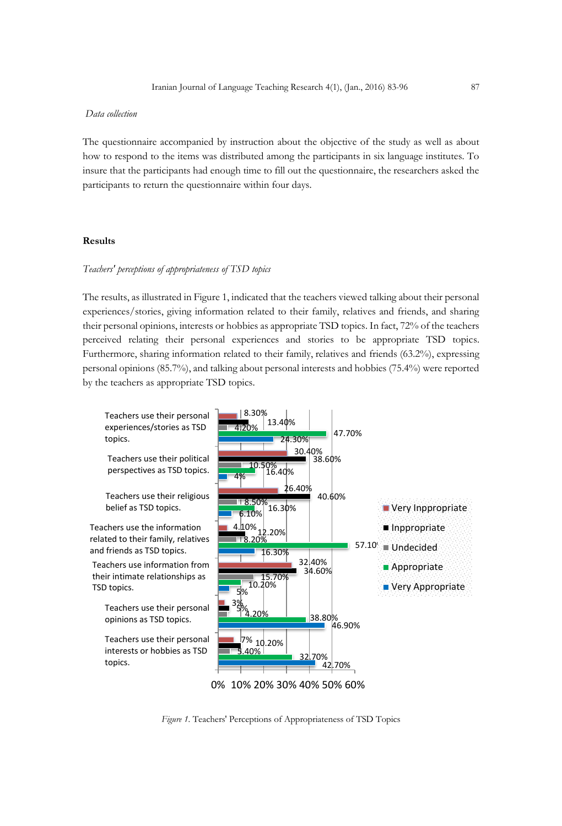#### *Data collection*

The questionnaire accompanied by instruction about the objective of the study as well as about how to respond to the items was distributed among the participants in six language institutes. To insure that the participants had enough time to fill out the questionnaire, the researchers asked the participants to return the questionnaire within four days.

### **Results**

### *Teachers' perceptions of appropriateness of TSD topics*

The results, as illustrated in Figure 1, indicated that the teachers viewed talking about their personal experiences/stories, giving information related to their family, relatives and friends, and sharing their personal opinions, interests or hobbies as appropriate TSD topics. In fact, 72% of the teachers perceived relating their personal experiences and stories to be appropriate TSD topics. Furthermore, sharing information related to their family, relatives and friends (63.2%), expressing personal opinions (85.7%), and talking about personal interests and hobbies (75.4%) were reported by the teachers as appropriate TSD topics.



*Figure 1.* Teachers' Perceptions of Appropriateness of TSD Topics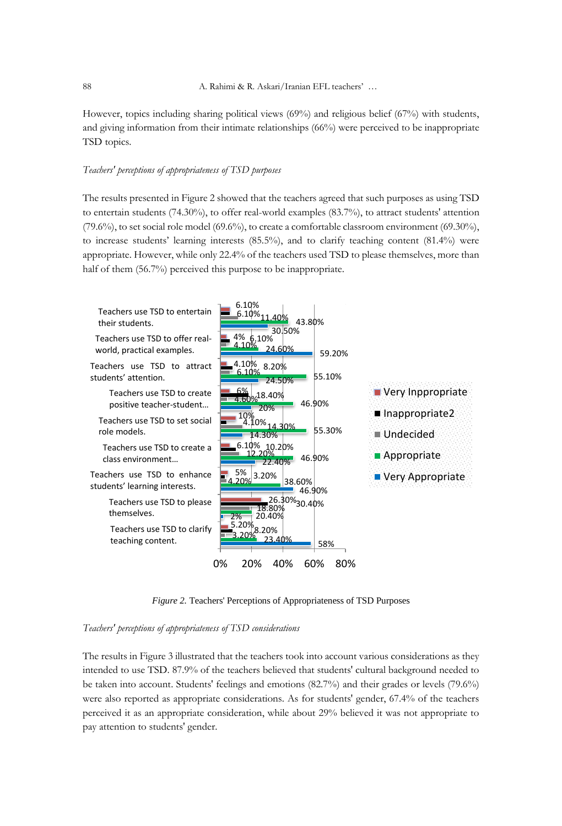However, topics including sharing political views (69%) and religious belief (67%) with students, and giving information from their intimate relationships (66%) were perceived to be inappropriate TSD topics.

## *Teachers' perceptions of appropriateness of TSD purposes*

The results presented in Figure 2 showed that the teachers agreed that such purposes as using TSD to entertain students (74.30%), to offer real-world examples (83.7%), to attract students' attention (79.6%), to set social role model (69.6%), to create a comfortable classroom environment (69.30%), to increase students' learning interests (85.5%), and to clarify teaching content (81.4%) were appropriate. However, while only 22.4% of the teachers used TSD to please themselves, more than half of them (56.7%) perceived this purpose to be inappropriate.



*Figure 2.* Teachers' Perceptions of Appropriateness of TSD Purposes

#### *Teachers' perceptions of appropriateness of TSD considerations*

The results in Figure 3 illustrated that the teachers took into account various considerations as they intended to use TSD. 87.9% of the teachers believed that students' cultural background needed to be taken into account. Students' feelings and emotions (82.7%) and their grades or levels (79.6%) were also reported as appropriate considerations. As for students' gender, 67.4% of the teachers perceived it as an appropriate consideration, while about 29% believed it was not appropriate to pay attention to students' gender.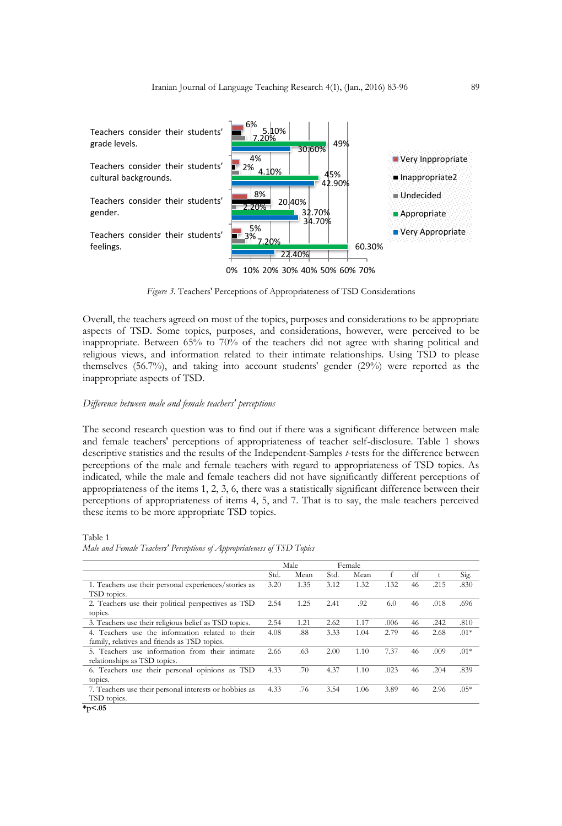

*Figure 3.* Teachers' Perceptions of Appropriateness of TSD Considerations

Overall, the teachers agreed on most of the topics, purposes and considerations to be appropriate aspects of TSD. Some topics, purposes, and considerations, however, were perceived to be inappropriate. Between 65% to 70% of the teachers did not agree with sharing political and religious views, and information related to their intimate relationships. Using TSD to please themselves (56.7%), and taking into account students' gender (29%) were reported as the inappropriate aspects of TSD.

#### *Difference between male and female teachers' perceptions*

The second research question was to find out if there was a significant difference between male and female teachers' perceptions of appropriateness of teacher self-disclosure. Table 1 shows descriptive statistics and the results of the Independent-Samples *t*-tests for the difference between perceptions of the male and female teachers with regard to appropriateness of TSD topics. As indicated, while the male and female teachers did not have significantly different perceptions of appropriateness of the items 1, 2, 3, 6, there was a statistically significant difference between their perceptions of appropriateness of items 4, 5, and 7. That is to say, the male teachers perceived these items to be more appropriate TSD topics.

Table 1

| Male and Female Teachers' Perceptions of Appropriateness of TSD Topics |  |  |  |  |
|------------------------------------------------------------------------|--|--|--|--|
|------------------------------------------------------------------------|--|--|--|--|

|                                                        | Male |      | Female |      |      |    |              |        |
|--------------------------------------------------------|------|------|--------|------|------|----|--------------|--------|
|                                                        | Std. | Mean | Std.   | Mean | f    | df | $^{\dagger}$ | Sig.   |
| 1. Teachers use their personal experiences/stories as  | 3.20 | 1.35 | 3.12   | 1.32 | .132 | 46 | .215         | .830   |
| TSD topics.                                            |      |      |        |      |      |    |              |        |
| 2. Teachers use their political perspectives as TSD    | 2.54 | 1.25 | 2.41   | .92  | 6.0  | 46 | .018         | .696   |
| topics.                                                |      |      |        |      |      |    |              |        |
| 3. Teachers use their religious belief as TSD topics.  | 2.54 | 1.21 | 2.62   | 1.17 | .006 | 46 | .242         | .810   |
| 4. Teachers use the information related to their       | 4.08 | .88  | 3.33   | 1.04 | 2.79 | 46 | 2.68         | $.01*$ |
| family, relatives and friends as TSD topics.           |      |      |        |      |      |    |              |        |
| 5. Teachers use information from their intimate        | 2.66 | .63  | 2.00   | 1.10 | 7.37 | 46 | .009         | $.01*$ |
| relationships as TSD topics.                           |      |      |        |      |      |    |              |        |
| 6. Teachers use their personal opinions as TSD         | 4.33 | .70  | 4.37   | 1.10 | .023 | 46 | .204         | .839   |
| topics.                                                |      |      |        |      |      |    |              |        |
| 7. Teachers use their personal interests or hobbies as | 4.33 | .76  | 3.54   | 1.06 | 3.89 | 46 | 2.96         | $.05*$ |
| TSD topics.                                            |      |      |        |      |      |    |              |        |
| $*_{p<.05}$                                            |      |      |        |      |      |    |              |        |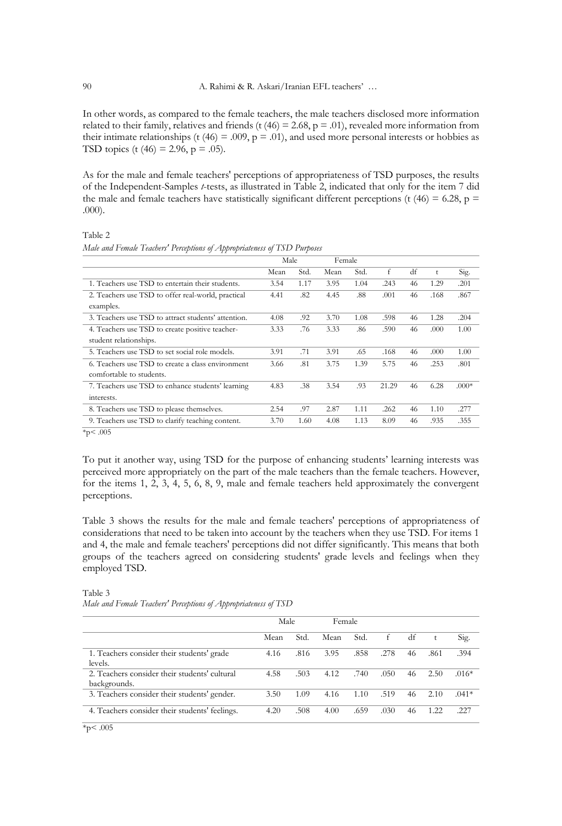In other words, as compared to the female teachers, the male teachers disclosed more information related to their family, relatives and friends (t  $(46) = 2.68$ ,  $p = .01$ ), revealed more information from their intimate relationships (t  $(46) = .009$ ,  $p = .01$ ), and used more personal interests or hobbies as TSD topics (t (46) = 2.96,  $p = .05$ ).

As for the male and female teachers' perceptions of appropriateness of TSD purposes, the results of the Independent-Samples *t*-tests, as illustrated in Table 2, indicated that only for the item 7 did the male and female teachers have statistically significant different perceptions (t  $(46) = 6.28$ , p = .000).

*Male and Female Teachers' Perceptions of Appropriateness of TSD Purposes*

Table 2

| ×<br>$\lambda$                                      |      |      |        |      |       |    |      |         |
|-----------------------------------------------------|------|------|--------|------|-------|----|------|---------|
|                                                     | Male |      | Female |      |       |    |      |         |
|                                                     | Mean | Std. | Mean   | Std. | f     | df | t    | Sig.    |
| 1. Teachers use TSD to entertain their students.    | 3.54 | 1.17 | 3.95   | 1.04 | .243  | 46 | 1.29 | .201    |
| 2. Teachers use TSD to offer real-world, practical  | 4.41 | .82  | 4.45   | .88  | .001  | 46 | .168 | .867    |
| examples.                                           |      |      |        |      |       |    |      |         |
| 3. Teachers use TSD to attract students' attention. | 4.08 | .92  | 3.70   | 1.08 | .598  | 46 | 1.28 | .204    |
| 4. Teachers use TSD to create positive teacher-     | 3.33 | .76  | 3.33   | .86  | .590  | 46 | .000 | 1.00    |
| student relationships.                              |      |      |        |      |       |    |      |         |
| 5. Teachers use TSD to set social role models.      | 3.91 | .71  | 3.91   | .65  | .168  | 46 | .000 | 1.00    |
| 6. Teachers use TSD to create a class environment   | 3.66 | .81  | 3.75   | 1.39 | 5.75  | 46 | .253 | .801    |
| comfortable to students.                            |      |      |        |      |       |    |      |         |
| 7. Teachers use TSD to enhance students' learning   | 4.83 | .38  | 3.54   | .93  | 21.29 | 46 | 6.28 | $.000*$ |
| interests.                                          |      |      |        |      |       |    |      |         |
| 8. Teachers use TSD to please themselves.           | 2.54 | .97  | 2.87   | 1.11 | .262  | 46 | 1.10 | .277    |
| 9. Teachers use TSD to clarify teaching content.    | 3.70 | 1.60 | 4.08   | 1.13 | 8.09  | 46 | .935 | .355    |

 $*_{p}<.005$ 

To put it another way, using TSD for the purpose of enhancing students' learning interests was perceived more appropriately on the part of the male teachers than the female teachers. However, for the items 1, 2, 3, 4, 5, 6, 8, 9, male and female teachers held approximately the convergent perceptions.

Table 3 shows the results for the male and female teachers' perceptions of appropriateness of considerations that need to be taken into account by the teachers when they use TSD. For items 1 and 4, the male and female teachers' perceptions did not differ significantly. This means that both groups of the teachers agreed on considering students' grade levels and feelings when they employed TSD.

#### Table 3 *Male and Female Teachers' Perceptions of Appropriateness of TSD*

|                                                               | Male |      | Female |      |      |    |      |         |
|---------------------------------------------------------------|------|------|--------|------|------|----|------|---------|
|                                                               | Mean | Std. | Mean   | Std. | f    | df |      | Sig.    |
| 1. Teachers consider their students' grade<br>levels.         | 4.16 | .816 | 3.95   | .858 | .278 | 46 | .861 | .394    |
| 2. Teachers consider their students' cultural<br>backgrounds. | 4.58 | .503 | 4.12   | .740 | .050 | 46 | 2.50 | $.016*$ |
| 3. Teachers consider their students' gender.                  | 3.50 | 1.09 | 4.16   | 1.10 | .519 | 46 | 2.10 | $.041*$ |
| 4. Teachers consider their students' feelings.                | 4.20 | .508 | 4.00   | .659 | .030 | 46 | 1 22 | .227    |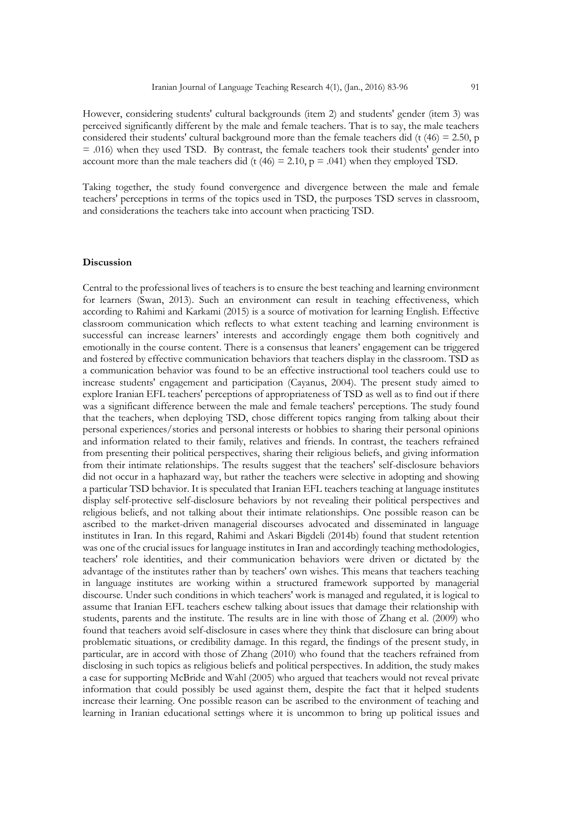However, considering students' cultural backgrounds (item 2) and students' gender (item 3) was perceived significantly different by the male and female teachers. That is to say, the male teachers considered their students' cultural background more than the female teachers did (t  $(46) = 2.50$ , p = .016) when they used TSD. By contrast, the female teachers took their students' gender into account more than the male teachers did (t  $(46) = 2.10$ , p = .041) when they employed TSD.

Taking together, the study found convergence and divergence between the male and female teachers' perceptions in terms of the topics used in TSD, the purposes TSD serves in classroom, and considerations the teachers take into account when practicing TSD.

#### **Discussion**

Central to the professional lives of teachers is to ensure the best teaching and learning environment for learners (Swan, 2013). Such an environment can result in teaching effectiveness, which according to Rahimi and Karkami (2015) is a source of motivation for learning English. Effective classroom communication which reflects to what extent teaching and learning environment is successful can increase learners' interests and accordingly engage them both cognitively and emotionally in the course content. There is a consensus that leaners' engagement can be triggered and fostered by effective communication behaviors that teachers display in the classroom. TSD as a communication behavior was found to be an effective instructional tool teachers could use to increase students' engagement and participation (Cayanus, 2004). The present study aimed to explore Iranian EFL teachers' perceptions of appropriateness of TSD as well as to find out if there was a significant difference between the male and female teachers' perceptions. The study found that the teachers, when deploying TSD, chose different topics ranging from talking about their personal experiences/stories and personal interests or hobbies to sharing their personal opinions and information related to their family, relatives and friends. In contrast, the teachers refrained from presenting their political perspectives, sharing their religious beliefs, and giving information from their intimate relationships. The results suggest that the teachers' self-disclosure behaviors did not occur in a haphazard way, but rather the teachers were selective in adopting and showing a particular TSD behavior. It is speculated that Iranian EFL teachers teaching at language institutes display self-protective self-disclosure behaviors by not revealing their political perspectives and religious beliefs, and not talking about their intimate relationships. One possible reason can be ascribed to the market-driven managerial discourses advocated and disseminated in language institutes in Iran. In this regard, Rahimi and Askari Bigdeli (2014b) found that student retention was one of the crucial issues for language institutes in Iran and accordingly teaching methodologies, teachers' role identities, and their communication behaviors were driven or dictated by the advantage of the institutes rather than by teachers' own wishes. This means that teachers teaching in language institutes are working within a structured framework supported by managerial discourse. Under such conditions in which teachers' work is managed and regulated, it is logical to assume that Iranian EFL teachers eschew talking about issues that damage their relationship with students, parents and the institute. The results are in line with those of Zhang et al. (2009) who found that teachers avoid self-disclosure in cases where they think that disclosure can bring about problematic situations, or credibility damage. In this regard, the findings of the present study, in particular, are in accord with those of Zhang (2010) who found that the teachers refrained from disclosing in such topics as religious beliefs and political perspectives. In addition, the study makes a case for supporting McBride and Wahl (2005) who argued that teachers would not reveal private information that could possibly be used against them, despite the fact that it helped students increase their learning. One possible reason can be ascribed to the environment of teaching and learning in Iranian educational settings where it is uncommon to bring up political issues and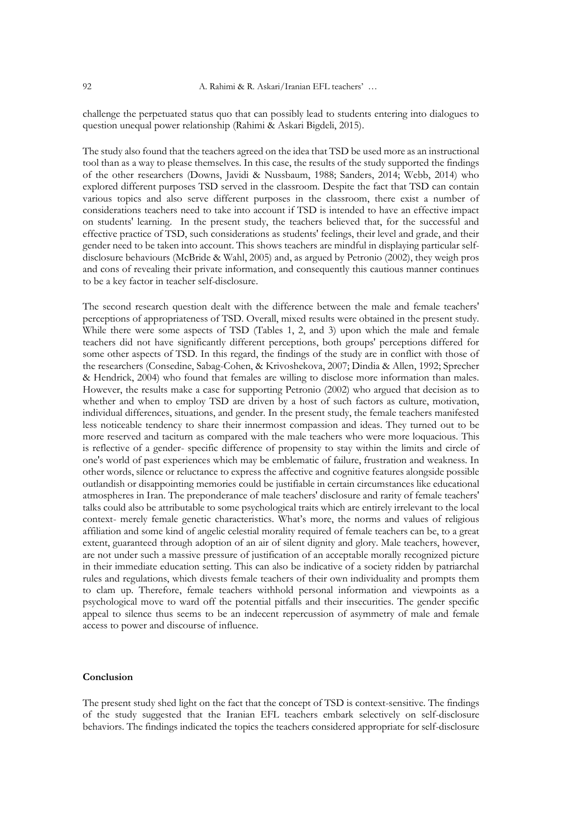challenge the perpetuated status quo that can possibly lead to students entering into dialogues to question unequal power relationship (Rahimi & Askari Bigdeli, 2015).

The study also found that the teachers agreed on the idea that TSD be used more as an instructional tool than as a way to please themselves. In this case, the results of the study supported the findings of the other researchers (Downs, Javidi & Nussbaum, 1988; Sanders, 2014; Webb, 2014) who explored different purposes TSD served in the classroom. Despite the fact that TSD can contain various topics and also serve different purposes in the classroom, there exist a number of considerations teachers need to take into account if TSD is intended to have an effective impact on students' learning. In the present study, the teachers believed that, for the successful and effective practice of TSD, such considerations as students' feelings, their level and grade, and their gender need to be taken into account. This shows teachers are mindful in displaying particular selfdisclosure behaviours (McBride & Wahl, 2005) and, as argued by Petronio (2002), they weigh pros and cons of revealing their private information, and consequently this cautious manner continues to be a key factor in teacher self-disclosure.

The second research question dealt with the difference between the male and female teachers' perceptions of appropriateness of TSD. Overall, mixed results were obtained in the present study. While there were some aspects of TSD (Tables 1, 2, and 3) upon which the male and female teachers did not have significantly different perceptions, both groups' perceptions differed for some other aspects of TSD. In this regard, the findings of the study are in conflict with those of the researchers (Consedine, Sabag-Cohen, & Krivoshekova, 2007; Dindia & Allen, 1992; Sprecher & Hendrick, 2004) who found that females are willing to disclose more information than males. However, the results make a case for supporting Petronio (2002) who argued that decision as to whether and when to employ TSD are driven by a host of such factors as culture, motivation, individual differences, situations, and gender. In the present study, the female teachers manifested less noticeable tendency to share their innermost compassion and ideas. They turned out to be more reserved and taciturn as compared with the male teachers who were more loquacious. This is reflective of a gender- specific difference of propensity to stay within the limits and circle of one's world of past experiences which may be emblematic of failure, frustration and weakness. In other words, silence or reluctance to express the affective and cognitive features alongside possible outlandish or disappointing memories could be justifiable in certain circumstances like educational atmospheres in Iran. The preponderance of male teachers' disclosure and rarity of female teachers' talks could also be attributable to some psychological traits which are entirely irrelevant to the local context- merely female genetic characteristics. What's more, the norms and values of religious affiliation and some kind of angelic celestial morality required of female teachers can be, to a great extent, guaranteed through adoption of an air of silent dignity and glory. Male teachers, however, are not under such a massive pressure of justification of an acceptable morally recognized picture in their immediate education setting. This can also be indicative of a society ridden by patriarchal rules and regulations, which divests female teachers of their own individuality and prompts them to clam up. Therefore, female teachers withhold personal information and viewpoints as a psychological move to ward off the potential pitfalls and their insecurities. The gender specific appeal to silence thus seems to be an indecent repercussion of asymmetry of male and female access to power and discourse of influence.

#### **Conclusion**

The present study shed light on the fact that the concept of TSD is context-sensitive. The findings of the study suggested that the Iranian EFL teachers embark selectively on self-disclosure behaviors. The findings indicated the topics the teachers considered appropriate for self-disclosure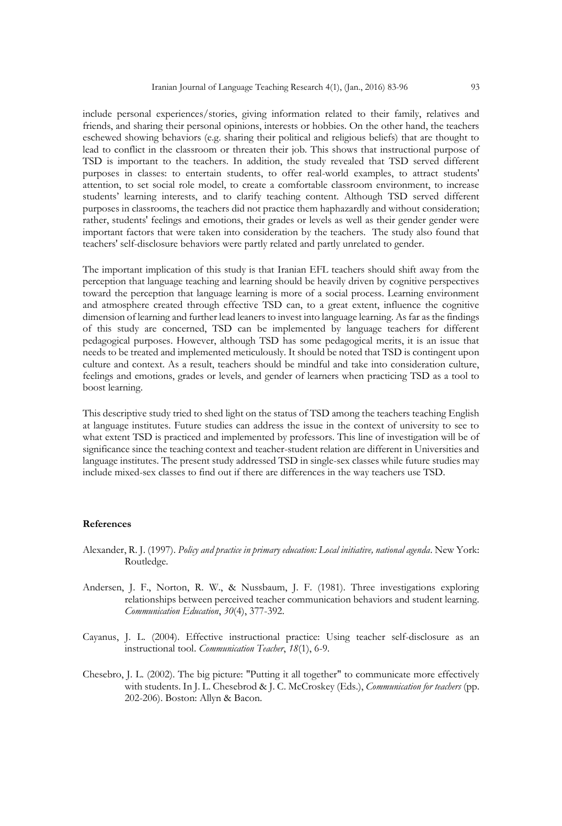include personal experiences/stories, giving information related to their family, relatives and friends, and sharing their personal opinions, interests or hobbies. On the other hand, the teachers eschewed showing behaviors (e.g. sharing their political and religious beliefs) that are thought to lead to conflict in the classroom or threaten their job. This shows that instructional purpose of TSD is important to the teachers. In addition, the study revealed that TSD served different purposes in classes: to entertain students, to offer real-world examples, to attract students' attention, to set social role model, to create a comfortable classroom environment, to increase students' learning interests, and to clarify teaching content. Although TSD served different purposes in classrooms, the teachers did not practice them haphazardly and without consideration; rather, students' feelings and emotions, their grades or levels as well as their gender gender were important factors that were taken into consideration by the teachers. The study also found that teachers' self-disclosure behaviors were partly related and partly unrelated to gender.

The important implication of this study is that Iranian EFL teachers should shift away from the perception that language teaching and learning should be heavily driven by cognitive perspectives toward the perception that language learning is more of a social process. Learning environment and atmosphere created through effective TSD can, to a great extent, influence the cognitive dimension of learning and further lead leaners to invest into language learning. As far as the findings of this study are concerned, TSD can be implemented by language teachers for different pedagogical purposes. However, although TSD has some pedagogical merits, it is an issue that needs to be treated and implemented meticulously. It should be noted that TSD is contingent upon culture and context. As a result, teachers should be mindful and take into consideration culture, feelings and emotions, grades or levels, and gender of learners when practicing TSD as a tool to boost learning.

This descriptive study tried to shed light on the status of TSD among the teachers teaching English at language institutes. Future studies can address the issue in the context of university to see to what extent TSD is practiced and implemented by professors. This line of investigation will be of significance since the teaching context and teacher-student relation are different in Universities and language institutes. The present study addressed TSD in single-sex classes while future studies may include mixed-sex classes to find out if there are differences in the way teachers use TSD.

#### **References**

- Alexander, R. J. (1997). *Policy and practice in primary education: Local initiative, national agenda*. New York: Routledge.
- Andersen, J. F., Norton, R. W., & Nussbaum, J. F. (1981). Three investigations exploring relationships between perceived teacher communication behaviors and student learning. *Communication Education*, *30*(4), 377-392.
- Cayanus, J. L. (2004). Effective instructional practice: Using teacher self-disclosure as an instructional tool. *Communication Teacher*, *18*(1), 6-9.
- Chesebro, J. L. (2002). The big picture: "Putting it all together" to communicate more effectively with students. In J. L. Chesebrod & J. C. McCroskey (Eds.), *Communication for teachers* (pp. 202-206). Boston: Allyn & Bacon.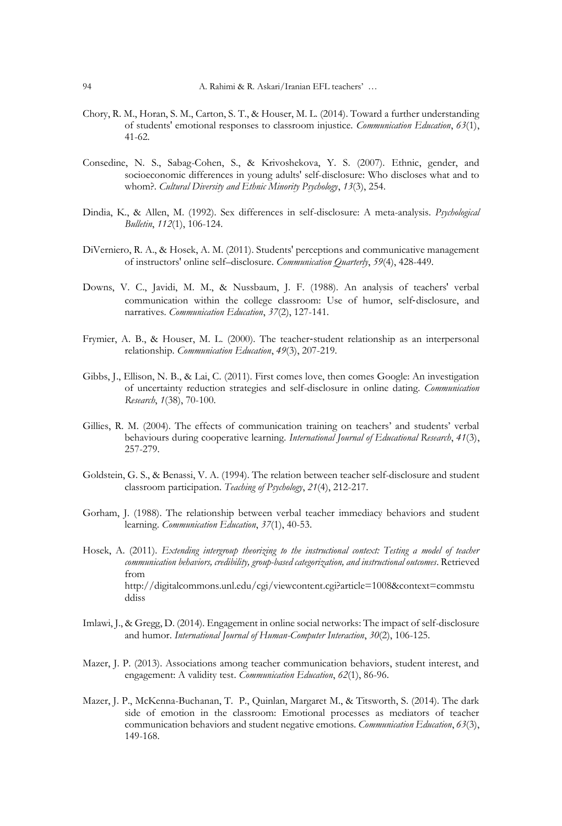- Chory, R. M., Horan, S. M., Carton, S. T., & Houser, M. L. (2014). Toward a further understanding of students' emotional responses to classroom injustice. *Communication Education*, *63*(1), 41-62.
- Consedine, N. S., Sabag-Cohen, S., & Krivoshekova, Y. S. (2007). Ethnic, gender, and socioeconomic differences in young adults' self-disclosure: Who discloses what and to whom?. *Cultural Diversity and Ethnic Minority Psychology*, *13*(3), 254.
- Dindia, K., & Allen, M. (1992). Sex differences in self-disclosure: A meta-analysis. *Psychological Bulletin*, *112*(1), 106-124.
- DiVerniero, R. A., & Hosek, A. M. (2011). Students' perceptions and communicative management of instructors' online self–disclosure. *Communication Quarterly*, *59*(4), 428-449.
- Downs, V. C., Javidi, M. M., & Nussbaum, J. F. (1988). An analysis of teachers' verbal communication within the college classroom: Use of humor, self‐disclosure, and narratives. *Communication Education*, *37*(2), 127-141.
- Frymier, A. B., & Houser, M. L. (2000). The teacher‐student relationship as an interpersonal relationship. *Communication Education*, *49*(3), 207-219.
- Gibbs, J., Ellison, N. B., & Lai, C. (2011). First comes love, then comes Google: An investigation of uncertainty reduction strategies and self-disclosure in online dating. *Communication Research*, *1*(38), 70-100.
- Gillies, R. M. (2004). The effects of communication training on teachers' and students' verbal behaviours during cooperative learning. *International Journal of Educational Research*, *41*(3), 257-279.
- Goldstein, G. S., & Benassi, V. A. (1994). The relation between teacher self-disclosure and student classroom participation. *Teaching of Psychology*, *21*(4), 212-217.
- Gorham, J. (1988). The relationship between verbal teacher immediacy behaviors and student learning. *Communication Education*, *37*(1), 40-53.
- Hosek, A. (2011). *Extending intergroup theorizing to the instructional context: Testing a model of teacher communication behaviors, credibility, group-based categorization, and instructional outcomes*. Retrieved from http://digitalcommons.unl.edu/cgi/viewcontent.cgi?article=1008&context=commstu ddiss
- Imlawi, J., & Gregg, D. (2014). Engagement in online social networks: The impact of self-disclosure and humor. *International Journal of Human-Computer Interaction*, *30*(2), 106-125.
- Mazer, J. P. (2013). Associations among teacher communication behaviors, student interest, and engagement: A validity test. *Communication Education*, *62*(1), 86-96.
- Mazer, J. P., McKenna-Buchanan, T. P., Quinlan, Margaret M., & Titsworth, S. (2014). The dark side of emotion in the classroom: Emotional processes as mediators of teacher communication behaviors and student negative emotions. *Communication Education*, *63*(3), 149-168.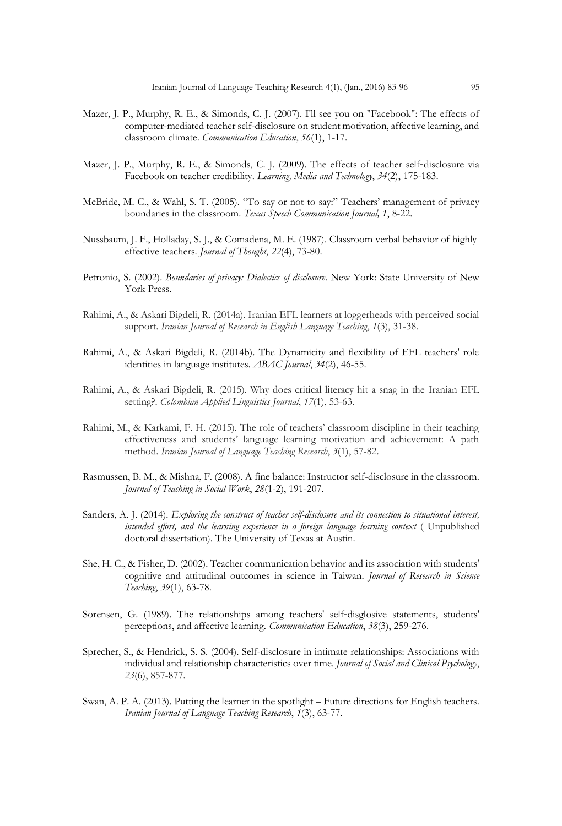- Mazer, J. P., Murphy, R. E., & Simonds, C. J. (2007). I'll see you on "Facebook": The effects of computer-mediated teacher self-disclosure on student motivation, affective learning, and classroom climate. *Communication Education*, *56*(1), 1-17.
- Mazer, J. P., Murphy, R. E., & Simonds, C. J. (2009). The effects of teacher self-disclosure via Facebook on teacher credibility. *Learning, Media and Technology*, *34*(2), 175-183.
- McBride, M. C., & Wahl, S. T. (2005). "To say or not to say:" Teachers' management of privacy boundaries in the classroom. *Texas Speech Communication Journal, 1*, 8-22.
- Nussbaum, J. F., Holladay, S. J., & Comadena, M. E. (1987). Classroom verbal behavior of highly effective teachers. *Journal of Thought*, *22*(4), 73-80.
- Petronio, S. (2002). *Boundaries of privacy: Dialectics of disclosure*. New York: State University of New York Press.
- Rahimi, A., & Askari Bigdeli, R. (2014a). Iranian EFL learners at loggerheads with perceived social support. *Iranian Journal of Research in English Language Teaching*, *1*(3), 31-38.
- Rahimi, A., & Askari Bigdeli, R. (2014b). The Dynamicity and flexibility of EFL teachers' role identities in language institutes. *ABAC Journal*, *34*(2), 46-55.
- Rahimi, A., & Askari Bigdeli, R. (2015). Why does critical literacy hit a snag in the Iranian EFL setting?. *Colombian Applied Linguistics Journal*, *17*(1), 53-63.
- Rahimi, M., & Karkami, F. H. (2015). The role of teachers' classroom discipline in their teaching effectiveness and students' language learning motivation and achievement: A path method. *Iranian Journal of Language Teaching Research*, *3*(1), 57-82.
- Rasmussen, B. M., & Mishna, F. (2008). A fine balance: Instructor self-disclosure in the classroom. *Journal of Teaching in Social Work*, *28*(1-2), 191-207.
- Sanders, A. J. (2014). *Exploring the construct of teacher self-disclosure and its connection to situational interest, intended effort, and the learning experience in a foreign language learning context* ( Unpublished doctoral dissertation). The University of Texas at Austin.
- She, H. C., & Fisher, D. (2002). Teacher communication behavior and its association with students' cognitive and attitudinal outcomes in science in Taiwan. *Journal of Research in Science Teaching*, *39*(1), 63-78.
- Sorensen, G. (1989). The relationships among teachers' self-disglosive statements, students' perceptions, and affective learning. *Communication Education*, *38*(3), 259-276.
- Sprecher, S., & Hendrick, S. S. (2004). Self-disclosure in intimate relationships: Associations with individual and relationship characteristics over time. *Journal of Social and Clinical Psychology*, *23*(6), 857-877.
- Swan, A. P. A. (2013). Putting the learner in the spotlight Future directions for English teachers. *Iranian Journal of Language Teaching Research*, *1*(3), 63-77.